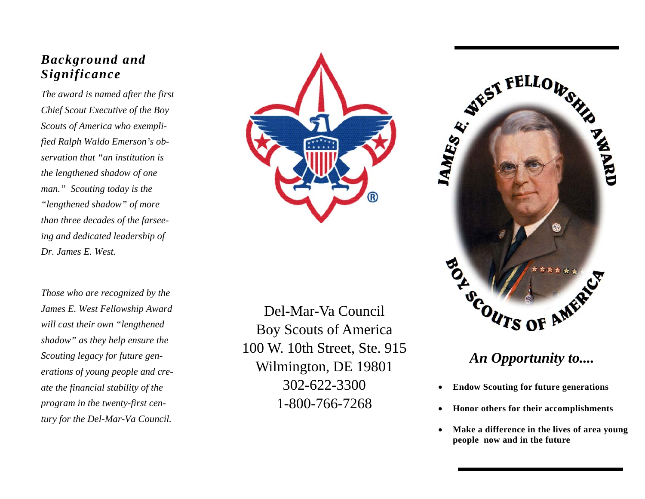## *Background and Significance*

*The award is named after the first Chief Scout Executive of the Boy Scouts of America who exemplified Ralph Waldo Emerson's observation that "an institution is the lengthened shadow of one man." Scouting today is the "lengthened shadow" of more than three decades of the farseeing and dedicated leadership of Dr. James E. West.* 

*Those who are recognized by the James E. West Fellowship Award will cast their own "lengthened shadow" as they help ensure the Scouting legacy for future generations of young people and create the financial stability of the program in the twenty-first century for the Del-Mar-Va Council.* 



Del-Mar-Va Council Boy Scouts of America 100 W. 10th Street, Ste. 915 Wilmington, DE 19801 302-622-3300 1-800-766-7268



## *An Opportunity to....*

- **Endow Scouting for future generations**
- **Honor others for their accomplishments**
- **Make a difference in the lives of area young people now and in the future**